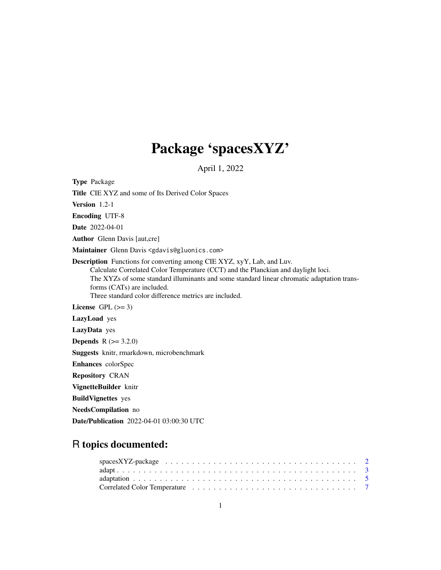## Package 'spacesXYZ'

April 1, 2022

<span id="page-0-0"></span>Type Package Title CIE XYZ and some of Its Derived Color Spaces Version 1.2-1 Encoding UTF-8 Date 2022-04-01 Author Glenn Davis [aut,cre] Maintainer Glenn Davis <gdavis@gluonics.com> Description Functions for converting among CIE XYZ, xyY, Lab, and Luv. Calculate Correlated Color Temperature (CCT) and the Planckian and daylight loci. The XYZs of some standard illuminants and some standard linear chromatic adaptation transforms (CATs) are included. Three standard color difference metrics are included. License GPL  $(>= 3)$ LazyLoad yes LazyData yes **Depends**  $R (= 3.2.0)$ Suggests knitr, rmarkdown, microbenchmark Enhances colorSpec Repository CRAN VignetteBuilder knitr BuildVignettes yes NeedsCompilation no Date/Publication 2022-04-01 03:00:30 UTC

### R topics documented:

| $spacesXYZ$ -package           2 |  |  |  |  |  |  |  |  |  |  |  |  |  |  |  |  |  |
|----------------------------------|--|--|--|--|--|--|--|--|--|--|--|--|--|--|--|--|--|
|                                  |  |  |  |  |  |  |  |  |  |  |  |  |  |  |  |  |  |
|                                  |  |  |  |  |  |  |  |  |  |  |  |  |  |  |  |  |  |
|                                  |  |  |  |  |  |  |  |  |  |  |  |  |  |  |  |  |  |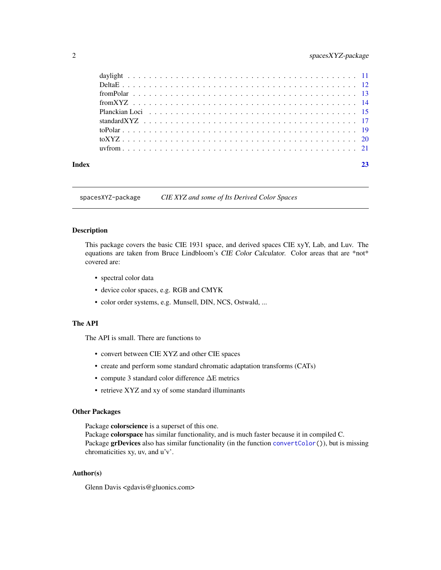<span id="page-1-0"></span>

| Index |  |
|-------|--|
|       |  |
|       |  |
|       |  |
|       |  |
|       |  |
|       |  |
|       |  |
|       |  |
|       |  |

spacesXYZ-package *CIE XYZ and some of Its Derived Color Spaces*

#### Description

This package covers the basic CIE 1931 space, and derived spaces CIE xyY, Lab, and Luv. The equations are taken from Bruce Lindbloom's CIE Color Calculator. Color areas that are \*not\* covered are:

- spectral color data
- device color spaces, e.g. RGB and CMYK
- color order systems, e.g. Munsell, DIN, NCS, Ostwald, ...

#### The API

The API is small. There are functions to

- convert between CIE XYZ and other CIE spaces
- create and perform some standard chromatic adaptation transforms (CATs)
- compute 3 standard color difference ∆E metrics
- retrieve XYZ and xy of some standard illuminants

#### Other Packages

Package colorscience is a superset of this one.

Package colorspace has similar functionality, and is much faster because it in compiled C. Package grDevices also has similar functionality (in the function [convertColor\(](#page-0-0))), but is missing chromaticities xy, uv, and u'v'.

#### Author(s)

Glenn Davis <gdavis@gluonics.com>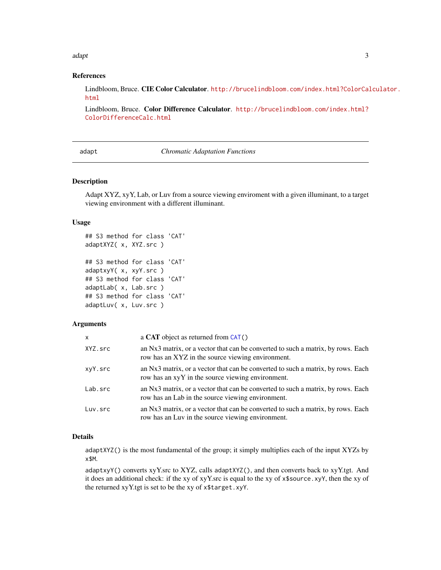<span id="page-2-0"></span>adapt 3

#### References

Lindbloom, Bruce. CIE Color Calculator. [http://brucelindbloom.com/index.html?ColorCal](http://brucelindbloom.com/index.html?ColorCalculator.html)culator. [html](http://brucelindbloom.com/index.html?ColorCalculator.html)

Lindbloom, Bruce. Color Difference Calculator. [http://brucelindbloom.com/index.html?](http://brucelindbloom.com/index.html?ColorDifferenceCalc.html) [ColorDifferenceCalc.html](http://brucelindbloom.com/index.html?ColorDifferenceCalc.html)

adapt *Chromatic Adaptation Functions*

#### <span id="page-2-1"></span>Description

Adapt XYZ, xyY, Lab, or Luv from a source viewing enviroment with a given illuminant, to a target viewing environment with a different illuminant.

#### Usage

```
## S3 method for class 'CAT'
adaptXYZ( x, XYZ.src )
## S3 method for class 'CAT'
adaptxyY( x, xyY.src )
## S3 method for class 'CAT'
adaptLab( x, Lab.src )
## S3 method for class 'CAT'
adaptLuv( x, Luv.src )
```
#### Arguments

| x       | a CAT object as returned from $CAT()$                                                                                                 |
|---------|---------------------------------------------------------------------------------------------------------------------------------------|
| XYZ.src | an Nx3 matrix, or a vector that can be converted to such a matrix, by rows. Each<br>row has an XYZ in the source viewing environment. |
| xyY.src | an Nx3 matrix, or a vector that can be converted to such a matrix, by rows. Each<br>row has an xyY in the source viewing environment. |
| Lab.src | an Nx3 matrix, or a vector that can be converted to such a matrix, by rows. Each<br>row has an Lab in the source viewing environment. |
| Luv.src | an Nx3 matrix, or a vector that can be converted to such a matrix, by rows. Each<br>row has an Luv in the source viewing environment. |

#### Details

adaptXYZ() is the most fundamental of the group; it simply multiplies each of the input XYZs by x\$M.

adaptxyY() converts xyY.src to XYZ, calls adaptXYZ(), and then converts back to xyY.tgt. And it does an additional check: if the xy of xyY.src is equal to the xy of x\$source.xyY, then the xy of the returned xyY.tgt is set to be the xy of x\$target.xyY.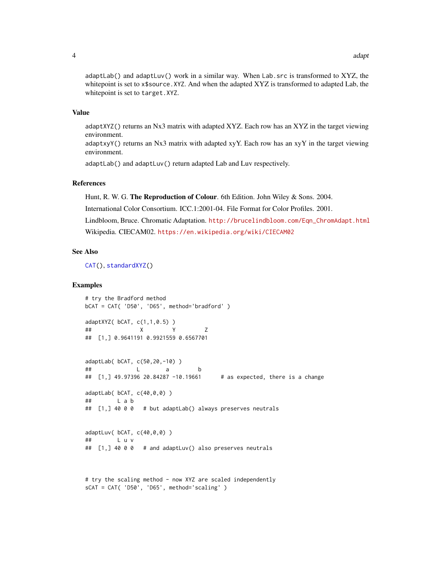<span id="page-3-0"></span>adaptLab() and adaptLuv() work in a similar way. When Lab.src is transformed to XYZ, the whitepoint is set to x\$source.XYZ. And when the adapted XYZ is transformed to adapted Lab, the whitepoint is set to target.XYZ.

#### Value

adaptXYZ() returns an Nx3 matrix with adapted XYZ. Each row has an XYZ in the target viewing environment.

adaptxyY() returns an Nx3 matrix with adapted xyY. Each row has an xyY in the target viewing environment.

adaptLab() and adaptLuv() return adapted Lab and Luv respectively.

#### References

Hunt, R. W. G. The Reproduction of Colour. 6th Edition. John Wiley & Sons. 2004.

International Color Consortium. ICC.1:2001-04. File Format for Color Profiles. 2001.

Lindbloom, Bruce. Chromatic Adaptation. [http://brucelindbloom.com/Eqn\\_ChromAdapt.html](http://brucelindbloom.com/Eqn_ChromAdapt.html) Wikipedia. CIECAM02. <https://en.wikipedia.org/wiki/CIECAM02>

#### See Also

[CAT\(](#page-4-1)), [standardXYZ\(](#page-16-1))

#### Examples

```
# try the Bradford method
bCAT = CAT( 'D50', 'D65', method='bradford' )
adaptXYZ( bCAT, c(1,1,0.5) )
## X Y Z
## [1,] 0.9641191 0.9921559 0.6567701
adaptLab( bCAT, c(50,20,-10) )
## L a b
## [1,] 49.97396 20.84287 -10.19661 # as expected, there is a change
adaptLab( bCAT, c(40,0,0) )
## L a b
## [1,] 40 0 0 # but adaptLab() always preserves neutrals
adaptLuv( bCAT, c(40,0,0) )
## L u v
## [1,] 40 0 0 # and adaptLuv() also preserves neutrals
```

```
# try the scaling method - now XYZ are scaled independently
sCAT = CAT( 'D50', 'D65', method='scaling' )
```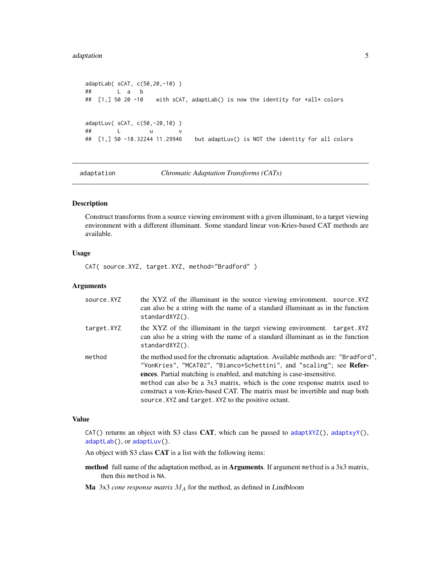#### <span id="page-4-0"></span>adaptation 5

```
adaptLab( sCAT, c(50,20,-10) )
## L a b<br>## [1,] 50 20 -10
                    with sCAT, adaptLab() is now the identity for *all* colors
adaptLuv( sCAT, c(50,-20,10) )
## L u v
## [1,] 50 -18.32244 11.29946 but adaptLuv() is NOT the identity for all colors
```
adaptation *Chromatic Adaptation Transforms (CATs)*

#### <span id="page-4-1"></span>Description

Construct transforms from a source viewing enviroment with a given illuminant, to a target viewing environment with a different illuminant. Some standard linear von-Kries-based CAT methods are available.

#### Usage

CAT( source.XYZ, target.XYZ, method="Bradford" )

#### Arguments

| source.XYZ | the XYZ of the illuminant in the source viewing environment. source.XYZ<br>can also be a string with the name of a standard illuminant as in the function<br>standardXYZ().                                                                                                                                                                                                                                                                          |
|------------|------------------------------------------------------------------------------------------------------------------------------------------------------------------------------------------------------------------------------------------------------------------------------------------------------------------------------------------------------------------------------------------------------------------------------------------------------|
| target.XYZ | the XYZ of the illuminant in the target viewing environment. target. XYZ<br>can also be a string with the name of a standard illuminant as in the function<br>standardXYZ().                                                                                                                                                                                                                                                                         |
| method     | the method used for the chromatic adaptation. Available methods are: "Bradford",<br>"VonKries", "MCAT02", "Bianco+Schettini", and "scaling"; see Refer-<br>ences. Partial matching is enabled, and matching is case-insensitive.<br>method can also be a 3x3 matrix, which is the cone response matrix used to<br>construct a von-Kries-based CAT. The matrix must be invertible and map both<br>source. XYZ and target. XYZ to the positive octant. |

#### Value

CAT() returns an object with S3 class CAT, which can be passed to [adaptXYZ\(](#page-2-1)), [adaptxyY\(](#page-2-1)), [adaptLab\(](#page-2-1)), or [adaptLuv\(](#page-2-1)).

An object with S3 class CAT is a list with the following items:

- method full name of the adaptation method, as in **Arguments**. If argument method is a 3x3 matrix, then this method is NA.
- Ma  $3x3$  *cone response matrix*  $M_A$  for the method, as defined in Lindbloom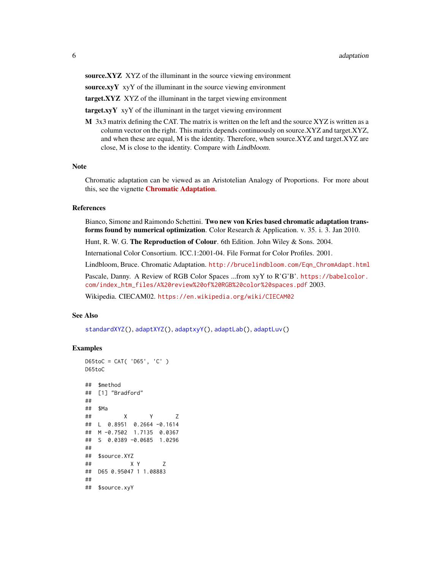<span id="page-5-0"></span>source.XYZ XYZ of the illuminant in the source viewing environment

source. $xyY$  xyY of the illuminant in the source viewing environment

target.XYZ XYZ of the illuminant in the target viewing environment

 $targetxyY$  xy  $Y$  of the illuminant in the target viewing environment

 $M$  3x3 matrix defining the CAT. The matrix is written on the left and the source XYZ is written as a column vector on the right. This matrix depends continuously on source.XYZ and target.XYZ, and when these are equal, M is the identity. Therefore, when source.XYZ and target.XYZ are close, M is close to the identity. Compare with Lindbloom.

#### **Note**

Chromatic adaptation can be viewed as an Aristotelian Analogy of Proportions. For more about this, see the vignette [Chromatic Adaptation](../doc/adaptation.html).

#### **References**

Bianco, Simone and Raimondo Schettini. Two new von Kries based chromatic adaptation transforms found by numerical optimization. Color Research & Application. v. 35. i. 3. Jan 2010. Hunt, R. W. G. The Reproduction of Colour. 6th Edition. John Wiley & Sons. 2004. International Color Consortium. ICC.1:2001-04. File Format for Color Profiles. 2001.

Lindbloom, Bruce. Chromatic Adaptation. [http://brucelindbloom.com/Eqn\\_ChromAdapt.html](http://brucelindbloom.com/Eqn_ChromAdapt.html) Pascale, Danny. A Review of RGB Color Spaces ...from xyY to R'G'B'. [https://babelcolor.](https://babelcolor.com/index_htm_files/A%20review%20of%20RGB%20color%20spaces.pdf)

[com/index\\_htm\\_files/A%20review%20of%20RGB%20color%20spaces.pdf](https://babelcolor.com/index_htm_files/A%20review%20of%20RGB%20color%20spaces.pdf) 2003.

Wikipedia. CIECAM02. <https://en.wikipedia.org/wiki/CIECAM02>

#### See Also

[standardXYZ\(](#page-16-1)), [adaptXYZ\(](#page-2-1)), [adaptxyY\(](#page-2-1)), [adaptLab\(](#page-2-1)), [adaptLuv\(](#page-2-1))

#### Examples

```
D65toC = CAT( 'D65', 'C' )
D65toC
## $method
## [1] "Bradford"
##
## $Ma
## X Y Z
## L 0.8951 0.2664 -0.1614
## M -0.7502 1.7135 0.0367
## S 0.0389 -0.0685 1.0296
##
## $source.XYZ
## X Y Z
## D65 0.95047 1 1.08883
##
## $source.xyY
```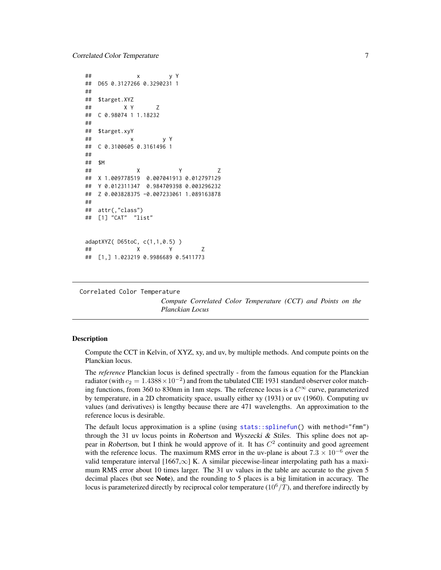```
## x y Y
## D65 0.3127266 0.3290231 1
##
## $target.XYZ
## X Y Z
## C 0.98074 1 1.18232
##
## $target.xyY
## x y Y
## C 0.3100605 0.3161496 1
##
## $M
## X Y Z
## X 1.009778519 0.007041913 0.012797129
## Y 0.012311347 0.984709398 0.003296232
## Z 0.003828375 -0.007233061 1.089163878
##
## attr(,"class")
## [1] "CAT" "list"
adaptXYZ( D65toC, c(1,1,0.5) )
## X Y Z
## [1,] 1.023219 0.9986689 0.5411773
```
Correlated Color Temperature

*Compute Correlated Color Temperature (CCT) and Points on the Planckian Locus*

#### <span id="page-6-1"></span>Description

Compute the CCT in Kelvin, of XYZ, xy, and uv, by multiple methods. And compute points on the Planckian locus.

The *reference* Planckian locus is defined spectrally - from the famous equation for the Planckian radiator (with  $c_2 = 1.4388 \times 10^{-2}$ ) and from the tabulated CIE 1931 standard observer color matching functions, from 360 to 830nm in 1nm steps. The reference locus is a  $C^{\infty}$  curve, parameterized by temperature, in a 2D chromaticity space, usually either xy (1931) or uv (1960). Computing uv values (and derivatives) is lengthy because there are 471 wavelengths. An approximation to the reference locus is desirable.

The default locus approximation is a spline (using [stats::splinefun\(](#page-0-0)) with method="fmm") through the 31 uv locus points in Robertson and Wyszecki  $\&$  Stiles. This spline does not appear in Robertson, but I think he would approve of it. It has  $C<sup>2</sup>$  continuity and good agreement with the reference locus. The maximum RMS error in the uv-plane is about  $7.3 \times 10^{-6}$  over the valid temperature interval [1667, $\infty$ ] K. A similar piecewise-linear interpolating path has a maximum RMS error about 10 times larger. The 31 uv values in the table are accurate to the given 5 decimal places (but see Note), and the rounding to 5 places is a big limitation in accuracy. The locus is parameterized directly by reciprocal color temperature  $(10^6/T)$ , and therefore indirectly by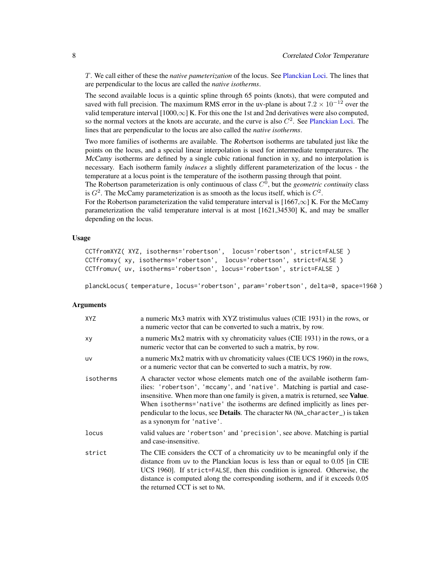<span id="page-7-0"></span>T. We call either of these the *native pameterization* of the locus. See [Planckian Loci.](#page-14-1) The lines that are perpendicular to the locus are called the *native isotherms*.

The second available locus is a quintic spline through 65 points (knots), that were computed and saved with full precision. The maximum RMS error in the uv-plane is about  $7.2 \times 10^{-12}$  over the valid temperature interval  $[1000,\infty]$  K. For this one the 1st and 2nd derivatives were also computed, so the normal vectors at the knots are accurate, and the curve is also  $C<sup>2</sup>$ . See [Planckian Loci.](#page-14-1) The lines that are perpendicular to the locus are also called the *native isotherms*.

Two more families of isotherms are available. The Robertson isotherms are tabulated just like the points on the locus, and a special linear interpolation is used for intermediate temperatures. The McCamy isotherms are defined by a single cubic rational function in xy, and no interpolation is necessary. Each isotherm family *induces* a slightly different parameterization of the locus - the temperature at a locus point is the temperature of the isotherm passing through that point.

The Robertson parameterization is only continuous of class C 0 , but the *geometric continuity* class is  $G^2$ . The McCamy parameterization is as smooth as the locus itself, which is  $C^2$ .

For the Robertson parameterization the valid temperature interval is  $[1667, \infty]$  K. For the McCamy parameterization the valid temperature interval is at most [1621,34530] K, and may be smaller depending on the locus.

#### Usage

```
CCTfromXYZ( XYZ, isotherms='robertson', locus='robertson', strict=FALSE )
CCTfromxy( xy, isotherms='robertson', locus='robertson', strict=FALSE )
CCTfromuv( uv, isotherms='robertson', locus='robertson', strict=FALSE )
```
planckLocus( temperature, locus='robertson', param='robertson', delta=0, space=1960 )

#### **Arguments**

| XYZ       | a numeric Mx3 matrix with XYZ tristimulus values (CIE 1931) in the rows, or<br>a numeric vector that can be converted to such a matrix, by row.                                                                                                                                                                                                                                                                                                     |
|-----------|-----------------------------------------------------------------------------------------------------------------------------------------------------------------------------------------------------------------------------------------------------------------------------------------------------------------------------------------------------------------------------------------------------------------------------------------------------|
| xy        | a numeric Mx2 matrix with xy chromaticity values (CIE 1931) in the rows, or a<br>numeric vector that can be converted to such a matrix, by row.                                                                                                                                                                                                                                                                                                     |
| <b>UV</b> | a numeric Mx2 matrix with uv chromaticity values (CIE UCS 1960) in the rows,<br>or a numeric vector that can be converted to such a matrix, by row.                                                                                                                                                                                                                                                                                                 |
| isotherms | A character vector whose elements match one of the available isotherm fam-<br>ilies: 'robertson', 'mccamy', and 'native'. Matching is partial and case-<br>insensitive. When more than one family is given, a matrix is returned, see Value.<br>When isotherms='native' the isotherms are defined implicitly as lines per-<br>pendicular to the locus, see <b>Details</b> . The character NA (NA_character_) is taken<br>as a synonym for 'native'. |
| locus     | valid values are 'robertson' and 'precision', see above. Matching is partial<br>and case-insensitive.                                                                                                                                                                                                                                                                                                                                               |
| strict    | The CIE considers the CCT of a chromaticity uv to be meaningful only if the<br>distance from uv to the Planckian locus is less than or equal to 0.05 [in CIE<br>UCS 1960]. If strict=FALSE, then this condition is ignored. Otherwise, the<br>distance is computed along the corresponding isotherm, and if it exceeds 0.05<br>the returned CCT is set to NA.                                                                                       |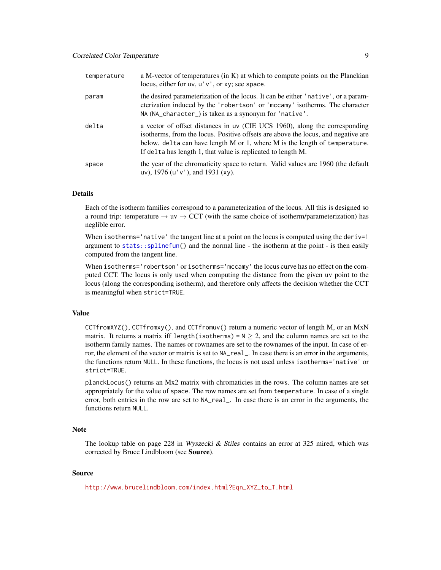<span id="page-8-0"></span>

| temperature | a M-vector of temperatures (in $K$ ) at which to compute points on the Planckian<br>locus, either for $uv, u'v'$ , or $xy$ ; see space.                                                                                                                                                                           |
|-------------|-------------------------------------------------------------------------------------------------------------------------------------------------------------------------------------------------------------------------------------------------------------------------------------------------------------------|
| param       | the desired parameterization of the locus. It can be either 'native', or a param-<br>eterization induced by the 'robertson' or 'mccamy' isotherms. The character<br>NA (NA_character_) is taken as a synonym for 'native'.                                                                                        |
| delta       | a vector of offset distances in uv (CIE UCS 1960), along the corresponding<br>isotherms, from the locus. Positive offsets are above the locus, and negative are<br>below. delta can have length $M$ or 1, where $M$ is the length of temperature.<br>If delta has length 1, that value is replicated to length M. |
| space       | the year of the chromaticity space to return. Valid values are 1960 (the default<br>uv), $1976$ (u'v'), and $1931$ (xy).                                                                                                                                                                                          |

#### Details

Each of the isotherm families correspond to a parameterization of the locus. All this is designed so a round trip: temperature  $\rightarrow$  uv  $\rightarrow$  CCT (with the same choice of isotherm/parameterization) has neglible error.

When isotherms='native' the tangent line at a point on the locus is computed using the deriv= $1$ argument to [stats::splinefun\(](#page-0-0)) and the normal line - the isotherm at the point - is then easily computed from the tangent line.

When isotherms='robertson' or isotherms='mccamy' the locus curve has no effect on the computed CCT. The locus is only used when computing the distance from the given uv point to the locus (along the corresponding isotherm), and therefore only affects the decision whether the CCT is meaningful when strict=TRUE.

#### Value

CCTfromXYZ(), CCTfromxy(), and CCTfromuv() return a numeric vector of length M, or an MxN matrix. It returns a matrix iff length(isotherms) =  $N \ge 2$ , and the column names are set to the isotherm family names. The names or rownames are set to the rownames of the input. In case of error, the element of the vector or matrix is set to NA\_real\_. In case there is an error in the arguments, the functions return NULL. In these functions, the locus is not used unless isotherms='native' or strict=TRUE.

planckLocus() returns an Mx2 matrix with chromaticies in the rows. The column names are set appropriately for the value of space. The row names are set from temperature. In case of a single error, both entries in the row are set to NA\_real\_. In case there is an error in the arguments, the functions return NULL.

#### Note

The lookup table on page 228 in Wyszecki  $\&$  Stiles contains an error at 325 mired, which was corrected by Bruce Lindbloom (see Source).

#### Source

[http://www.brucelindbloom.com/index.html?Eqn\\_XYZ\\_to\\_T.html](http://www.brucelindbloom.com/index.html?Eqn_XYZ_to_T.html)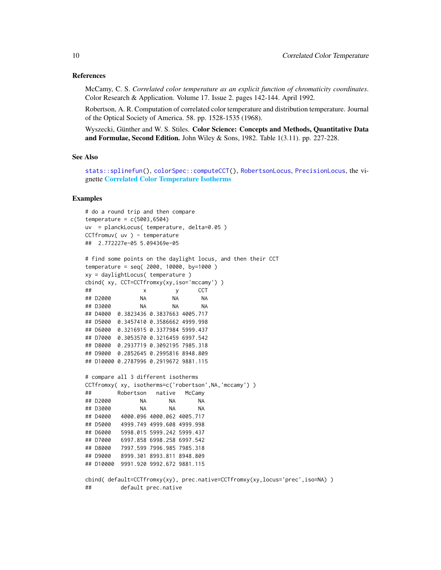#### <span id="page-9-0"></span>References

McCamy, C. S. *Correlated color temperature as an explicit function of chromaticity coordinates*. Color Research & Application. Volume 17. Issue 2. pages 142-144. April 1992.

Robertson, A. R. Computation of correlated color temperature and distribution temperature. Journal of the Optical Society of America. 58. pp. 1528-1535 (1968).

Wyszecki, Günther and W. S. Stiles. Color Science: Concepts and Methods, Quantitative Data and Formulae, Second Edition. John Wiley & Sons, 1982. Table  $1(3.11)$ . pp. 227-228.

#### See Also

```
stats::splinefun(), colorSpec::computeCCT(), RobertsonLocus, PrecisionLocus, the vi-
gnette Correlated Color Temperature Isotherms
```
#### Examples

```
# do a round trip and then compare
temperature = c(5003, 6504)uv = planckLocus( temperature, delta=0.05 )
CCTfromuv( uv ) - temperature
## 2.772227e-05 5.094369e-05
# find some points on the daylight locus, and then their CCT
temperature = seq( 2000, 10000, by=1000 )
xy = daylightLocus( temperature )
cbind( xy, CCT=CCTfromxy(xy,iso='mccamy') )
## x y CCT
## D2000 NA NA NA
## D3000 NA NA NA
## D4000 0.3823436 0.3837663 4005.717
## D5000 0.3457410 0.3586662 4999.998
## D6000 0.3216915 0.3377984 5999.437
## D7000 0.3053570 0.3216459 6997.542
## D8000 0.2937719 0.3092195 7985.318
## D9000 0.2852645 0.2995816 8948.809
## D10000 0.2787996 0.2919672 9881.115
# compare all 3 different isotherms
CCTfromxy( xy, isotherms=c('robertson',NA,'mccamy') )
## Robertson native McCamy
## D2000 NA NA NA
## D3000 NA NA NA
## D4000 4000.096 4000.062 4005.717
## D5000 4999.749 4999.608 4999.998
## D6000 5998.015 5999.242 5999.437
## D7000 6997.858 6998.258 6997.542
## D8000 7997.599 7996.985 7985.318
## D9000 8999.301 8993.811 8948.809
## D10000 9991.920 9992.672 9881.115
```
cbind( default=CCTfromxy(xy), prec.native=CCTfromxy(xy,locus='prec',iso=NA) ) ## default prec.native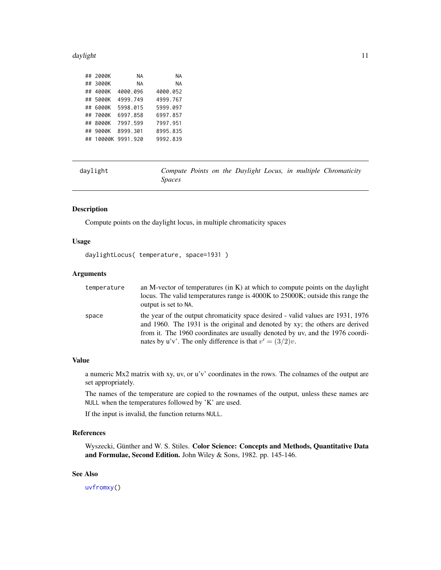#### <span id="page-10-0"></span>daylight the contract of the contract of the contract of the contract of the contract of the contract of the contract of the contract of the contract of the contract of the contract of the contract of the contract of the c

|  | ## 2000K | NА                 | ΝA        |
|--|----------|--------------------|-----------|
|  | ## 3000K | NА                 | <b>NA</b> |
|  | ## 4000K | 4000.096           | 4000.052  |
|  | ## 5000K | 4999.749           | 4999.767  |
|  | ## 6000K | 5998.015           | 5999.097  |
|  | ## 7000K | 6997.858           | 6997.857  |
|  | ## 8000K | 7997.599           | 7997.951  |
|  | ## 9000K | 8999.301           | 8995.835  |
|  |          | ## 10000K 9991.920 | 9992.839  |
|  |          |                    |           |

daylight *Compute Points on the Daylight Locus, in multiple Chromaticity Spaces*

#### Description

Compute points on the daylight locus, in multiple chromaticity spaces

#### Usage

daylightLocus( temperature, space=1931 )

#### Arguments

| temperature | an M-vector of temperatures (in $K$ ) at which to compute points on the daylight<br>locus. The valid temperatures range is 4000K to 25000K; outside this range the<br>output is set to NA. |
|-------------|--------------------------------------------------------------------------------------------------------------------------------------------------------------------------------------------|
| space       | the year of the output chromaticity space desired - valid values are 1931, 1976<br>and 1960. The 1931 is the original and denoted by xy; the others are derived                            |
|             | from it. The 1960 coordinates are usually denoted by uv, and the 1976 coordi-                                                                                                              |
|             | nates by u'v'. The only difference is that $v' = (3/2)v$ .                                                                                                                                 |

#### Value

a numeric Mx2 matrix with xy, uv, or u'v' coordinates in the rows. The colnames of the output are set appropriately.

The names of the temperature are copied to the rownames of the output, unless these names are NULL when the temperatures followed by 'K' are used.

If the input is invalid, the function returns NULL.

#### References

Wyszecki, Günther and W. S. Stiles. Color Science: Concepts and Methods, Quantitative Data and Formulae, Second Edition. John Wiley & Sons, 1982. pp. 145-146.

#### See Also

[uvfromxy\(](#page-20-1))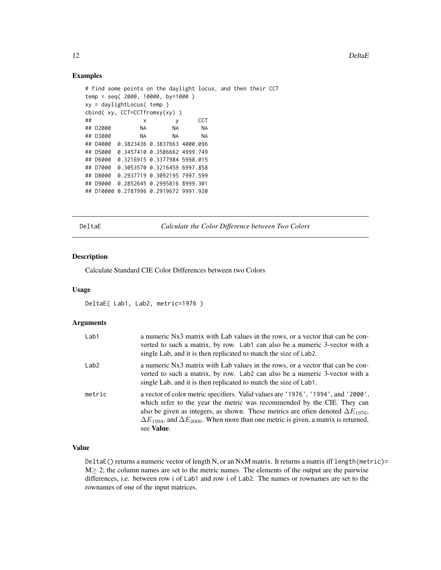#### Examples

```
# find some points on the daylight locus, and then their CCT
temp = seq( 2000, 10000, by=1000 )
xy = daylightLocus( temp )
cbind( xy, CCT=CCTfromxy(xy) )
## x y CCT
## D2000 NA NA NA
## D3000 NA NA NA
## D4000 0.3823436 0.3837663 4000.096
## D5000 0.3457410 0.3586662 4999.749
## D6000 0.3216915 0.3377984 5998.015
## D7000 0.3053570 0.3216459 6997.858
## D8000 0.2937719 0.3092195 7997.599
## D9000 0.2852645 0.2995816 8999.301
## D10000 0.2787996 0.2919672 9991.920
```
DeltaE *Calculate the Color Difference between Two Colors*

#### Description

Calculate Standard CIE Color Differences between two Colors

#### Usage

DeltaE( Lab1, Lab2, metric=1976 )

#### Arguments

| Lab1   | a numeric Nx3 matrix with Lab values in the rows, or a vector that can be con-<br>verted to such a matrix, by row. Lab1 can also be a numeric 3-vector with a<br>single Lab, and it is then replicated to match the size of Lab2.                                                                                                                                               |
|--------|---------------------------------------------------------------------------------------------------------------------------------------------------------------------------------------------------------------------------------------------------------------------------------------------------------------------------------------------------------------------------------|
| Lab2   | a numeric Nx3 matrix with Lab values in the rows, or a vector that can be con-<br>verted to such a matrix, by row. Lab2 can also be a numeric 3-vector with a<br>single Lab, and it is then replicated to match the size of Lab1.                                                                                                                                               |
| metric | a vector of color metric specifiers. Valid values are '1976', '1994', and '2000',<br>which refer to the year the metric was recommended by the CIE. They can<br>also be given as integers, as shown. These metrics are often denoted $\Delta E_{1976}$ ,<br>$\Delta E_{1994}$ , and $\Delta E_{2000}$ . When more than one metric is given, a matrix is returned,<br>see Value. |

#### Value

DeltaE() returns a numeric vector of length N, or an NxM matrix. It returns a matrix iff length(metric)=  $M \geq 2$ ; the column names are set to the metric names. The elements of the output are the pairwise differences, i.e. between row i of Lab1 and row i of Lab2. The names or rownames are set to the rownames of one of the input matrices.

<span id="page-11-0"></span>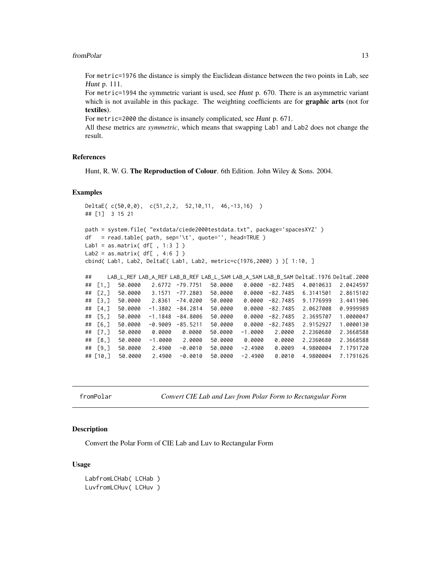#### <span id="page-12-0"></span>from Polar 13

For metric=1976 the distance is simply the Euclidean distance between the two points in Lab, see Hunt p. 111.

For metric=1994 the symmetric variant is used, see Hunt p. 670. There is an asymmetric variant which is not available in this package. The weighting coefficients are for **graphic arts** (not for textiles).

For metric=2000 the distance is insanely complicated, see Hunt p. 671.

All these metrics are *symmetric*, which means that swapping Lab1 and Lab2 does not change the result.

#### References

Hunt, R. W. G. The Reproduction of Colour. 6th Edition. John Wiley & Sons. 2004.

#### Examples

```
DeltaE( c(50,0,0), c(51,2,2, 52,10,11, 46,-13,16) )
## [1] 3 15 21
path = system.file( "extdata/ciede2000testdata.txt", package='spacesXYZ' )
df = read_table( path, sep=' \t t', quote='', head=True )Lab1 = as.matrix(df[, 1:3 ])
Lab2 = as.matrix( df[ , 4:6 ] )
cbind( Lab1, Lab2, DeltaE( Lab1, Lab2, metric=c(1976,2000) ) )[ 1:10, ]
## LAB_L_REF LAB_A_REF LAB_B_REF LAB_L_SAM LAB_A_SAM LAB_B_SAM DeltaE.1976 DeltaE.2000
## [1,] 50.0000 2.6772 -79.7751 50.0000 0.0000 -82.7485 4.0010633 2.0424597
## [2,] 50.0000 3.1571 -77.2803 50.0000 0.0000 -82.7485 6.3141501 2.8615102
## [3,] 50.0000 2.8361 -74.0200 50.0000 0.0000 -82.7485 9.1776999 3.4411906
## [4,] 50.0000 -1.3802 -84.2814 50.0000 0.0000 -82.7485 2.0627008 0.9999989
## [5,] 50.0000 -1.1848 -84.8006 50.0000 0.0000 -82.7485 2.3695707 1.0000047
## [6,] 50.0000 -0.9009 -85.5211 50.0000 0.0000 -82.7485 2.9152927 1.0000130
## [7,] 50.0000 0.0000 0.0000 50.0000 -1.0000 2.0000 2.2360680 2.3668588
## [8,] 50.0000 -1.0000 2.0000 50.0000 0.0000 0.0000 2.2360680 2.3668588
## [9,] 50.0000 2.4900 -0.0010 50.0000 -2.4900 0.0009 4.9800004 7.1791720
## [10,] 50.0000 2.4900 -0.0010 50.0000 -2.4900 0.0010 4.9800004 7.1791626
```
fromPolar *Convert CIE Lab and Luv from Polar Form to Rectangular Form*

#### <span id="page-12-1"></span>Description

Convert the Polar Form of CIE Lab and Luv to Rectangular Form

#### Usage

```
LabfromLCHab( LCHab )
LuvfromLCHuv( LCHuv )
```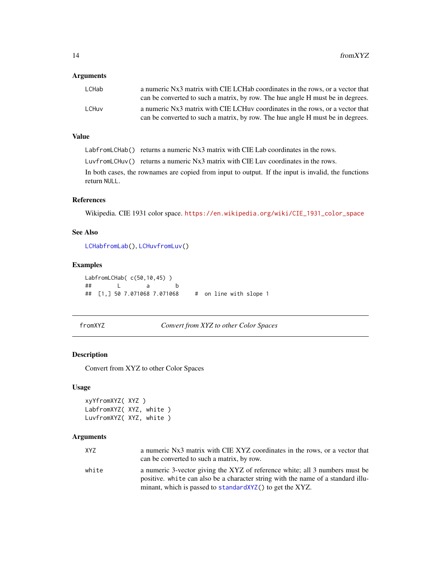#### <span id="page-13-0"></span>Arguments

| LCHab | a numeric Nx3 matrix with CIE LCHab coordinates in the rows, or a vector that<br>can be converted to such a matrix, by row. The hue angle H must be in degrees. |
|-------|-----------------------------------------------------------------------------------------------------------------------------------------------------------------|
| LCHuv | a numeric Nx3 matrix with CIE LCHuv coordinates in the rows, or a vector that                                                                                   |
|       | can be converted to such a matrix, by row. The hue angle H must be in degrees.                                                                                  |

#### Value

LabfromLCHab() returns a numeric Nx3 matrix with CIE Lab coordinates in the rows.

LuvfromLCHuv() returns a numeric Nx3 matrix with CIE Luv coordinates in the rows.

In both cases, the rownames are copied from input to output. If the input is invalid, the functions return NULL.

#### References

Wikipedia. CIE 1931 color space. [https://en.wikipedia.org/wiki/CIE\\_1931\\_color\\_space](https://en.wikipedia.org/wiki/CIE_1931_color_space)

#### See Also

[LCHabfromLab\(](#page-18-1)), [LCHuvfromLuv\(](#page-18-1))

#### Examples

LabfromLCHab( c(50,10,45) ) ## L a b ## [1,] 50 7.071068 7.071068 # on line with slope 1

fromXYZ *Convert from XYZ to other Color Spaces*

#### <span id="page-13-1"></span>Description

Convert from XYZ to other Color Spaces

#### Usage

```
xyYfromXYZ( XYZ )
LabfromXYZ( XYZ, white )
LuvfromXYZ( XYZ, white )
```
#### Arguments

| XYZ   | a numeric Nx3 matrix with CIE XYZ coordinates in the rows, or a vector that                                                                                     |
|-------|-----------------------------------------------------------------------------------------------------------------------------------------------------------------|
|       | can be converted to such a matrix, by row.                                                                                                                      |
| white | a numeric 3-vector giving the XYZ of reference white; all 3 numbers must be<br>positive, white can also be a character string with the name of a standard illu- |
|       | minant, which is passed to standard XYZ() to get the XYZ.                                                                                                       |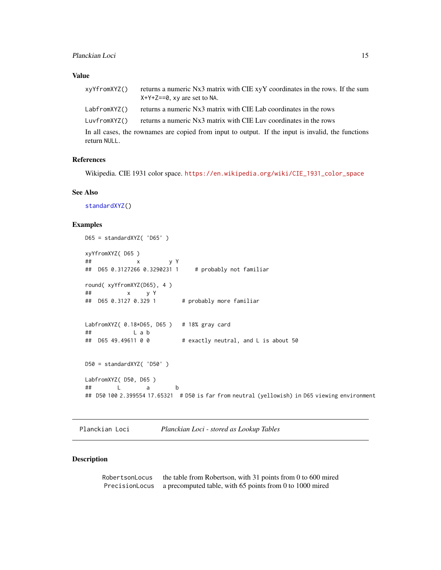#### <span id="page-14-0"></span>Value

| xyYfromXYZ() | returns a numeric Nx3 matrix with CIE xyY coordinates in the rows. If the sum<br>$X+Y+Z==0$ , xy are set to NA. |
|--------------|-----------------------------------------------------------------------------------------------------------------|
| LabfromXYZ() | returns a numeric Nx3 matrix with CIE Lab coordinates in the rows                                               |
| LuvfromXYZ() | returns a numeric Nx3 matrix with CIE Luv coordinates in the rows                                               |
|              | In all cases, the rownames are copied from input to output. If the input is invalid, the functions              |
| return NULL. |                                                                                                                 |

#### References

Wikipedia. CIE 1931 color space. [https://en.wikipedia.org/wiki/CIE\\_1931\\_color\\_space](https://en.wikipedia.org/wiki/CIE_1931_color_space)

#### See Also

[standardXYZ\(](#page-16-1))

#### Examples

```
D65 = standardXYZ( 'D65' )
xyYfromXYZ( D65 )
## x y Y
## D65 0.3127266 0.3290231 1 # probably not familiar
round( xyYfromXYZ(D65), 4 )
## x y Y
                       # probably more familiar
LabfromXYZ( 0.18*D65, D65 ) # 18% gray card
## L a b
## D65 49.49611 0 0 # exactly neutral, and L is about 50
D50 = standardXYZ( 'D50' )
LabfromXYZ( D50, D65 )
## L a b
## D50 100 2.399554 17.65321 # D50 is far from neutral (yellowish) in D65 viewing environment
```
Planckian Loci *Planckian Loci - stored as Lookup Tables*

#### <span id="page-14-1"></span>Description

| RobertsonLocus | the table from Robertson, with 31 points from 0 to 600 mired |
|----------------|--------------------------------------------------------------|
| PrecisionLocus | a precomputed table, with 65 points from 0 to 1000 mired     |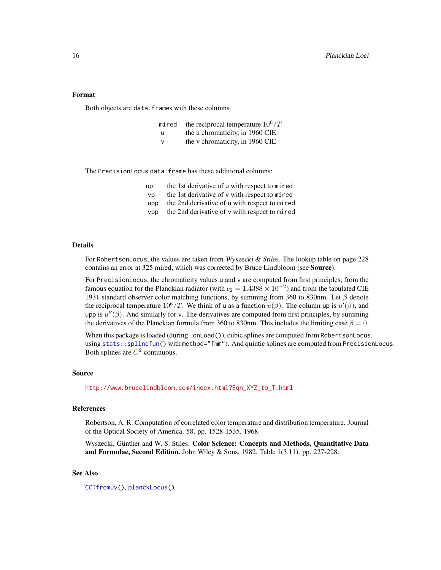#### <span id="page-15-0"></span>Format

Both objects are data.frames with these columns

- mired the reciprocal temperature  $10^6/T$
- u the u chromaticity, in 1960 CIE
- v the v chromaticity, in 1960 CIE

The PrecisionLocus data.frame has these additional columns:

- up the 1st derivative of u with respect to mired
- $vp$  the 1st derivative of v with respect to mired
- upp the 2nd derivative of u with respect to mired
- $vpp$  the 2nd derivative of  $v$  with respect to mired

#### Details

For RobertsonLocus, the values are taken from Wyszecki & Stiles. The lookup table on page 228 contains an error at 325 mired, which was corrected by Bruce Lindbloom (see Source).

For PrecisionLocus, the chromaticity values u and v are computed from first principles, from the famous equation for the Planckian radiator (with  $c_2 = 1.4388 \times 10^{-2}$ ) and from the tabulated CIE 1931 standard observer color matching functions, by summing from 360 to 830nm. Let  $\beta$  denote the reciprocal temperature  $10^6/T$ . We think of u as a function  $u(\beta)$ . The column up is  $u'(\beta)$ , and upp is  $u''(\beta)$ . And similarly for v. The derivatives are computed from first principles, by summing the derivatives of the Planckian formula from 360 to 830nm. This includes the limiting case  $\beta = 0$ .

When this package is loaded (during . onLoad()), cubic splines are computed from RobertsonLocus, using [stats::splinefun\(](#page-0-0)) with method="fmm"). And quintic splines are computed from PrecisionLocus. Both splines are  $C^2$  continuous.

#### Source

[http://www.brucelindbloom.com/index.html?Eqn\\_XYZ\\_to\\_T.html](http://www.brucelindbloom.com/index.html?Eqn_XYZ_to_T.html)

#### References

Robertson, A. R. Computation of correlated color temperature and distribution temperature. Journal of the Optical Society of America. 58. pp. 1528-1535. 1968.

Wyszecki, Günther and W. S. Stiles. Color Science: Concepts and Methods, Quantitative Data and Formulae, Second Edition. John Wiley & Sons, 1982. Table 1(3.11). pp. 227-228.

#### See Also

[CCTfromuv\(](#page-6-1)), [planckLocus\(](#page-6-1))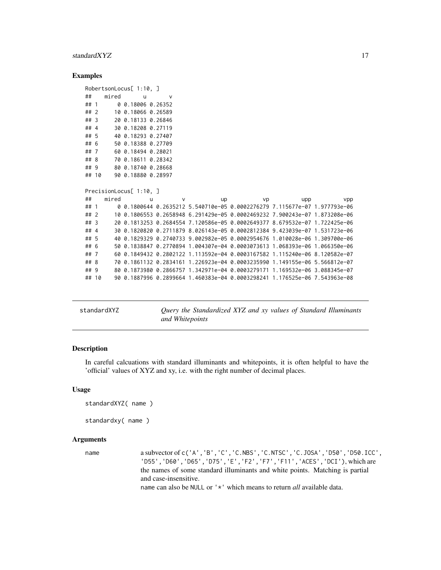#### <span id="page-16-0"></span>standardXYZ 17

#### Examples

```
RobertsonLocus[ 1:10, ]
## mired u v
## 1 0 0.18006 0.26352
## 2 10 0.18066 0.26589
## 3 20 0.18133 0.26846
## 4 30 0.18208 0.27119
## 5 40 0.18293 0.27407
## 6 50 0.18388 0.27709
## 7 60 0.18494 0.28021
## 8 70 0.18611 0.28342
## 9 80 0.18740 0.28668
## 10 90 0.18880 0.28997
PrecisionLocus[ 1:10, ]
## mired u v up vp upp vpp
## 1 0 0.1800644 0.2635212 5.540710e-05 0.0002276279 7.115677e-07 1.977793e-06
## 2 10 0.1806553 0.2658948 6.291429e-05 0.0002469232 7.900243e-07 1.873208e-06
## 3 20 0.1813253 0.2684554 7.120586e-05 0.0002649377 8.679532e-07 1.722425e-06
## 4 30 0.1820820 0.2711879 8.026143e-05 0.0002812384 9.423039e-07 1.531723e-06
## 5 40 0.1829329 0.2740733 9.002982e-05 0.0002954676 1.010028e-06 1.309700e-06
## 6 50 0.1838847 0.2770894 1.004307e-04 0.0003073613 1.068393e-06 1.066350e-06
## 7 60 0.1849432 0.2802122 1.113592e-04 0.0003167582 1.115240e-06 8.120582e-07
## 8 70 0.1861132 0.2834161 1.226923e-04 0.0003235990 1.149155e-06 5.566812e-07
## 9 80 0.1873980 0.2866757 1.342971e-04 0.0003279171 1.169532e-06 3.088345e-07
## 10 90 0.1887996 0.2899664 1.460383e-04 0.0003298241 1.176525e-06 7.543963e-08
```
<span id="page-16-1"></span>standardXYZ *Query the Standardized XYZ and xy values of Standard Illuminants and Whitepoints*

#### Description

In careful calcuations with standard illuminants and whitepoints, it is often helpful to have the 'official' values of XYZ and xy, i.e. with the right number of decimal places.

#### Usage

```
standardXYZ( name )
```

```
standardxy( name )
```
#### Arguments

name a subvector of c('A','B','C','C.NBS','C.NTSC','C.JOSA','D50','D50.ICC', 'D55','D60','D65','D75','E','F2','F7','F11','ACES','DCI'), which are the names of some standard illuminants and white points. Matching is partial and case-insensitive. name can also be NULL or '\*' which means to return *all* available data.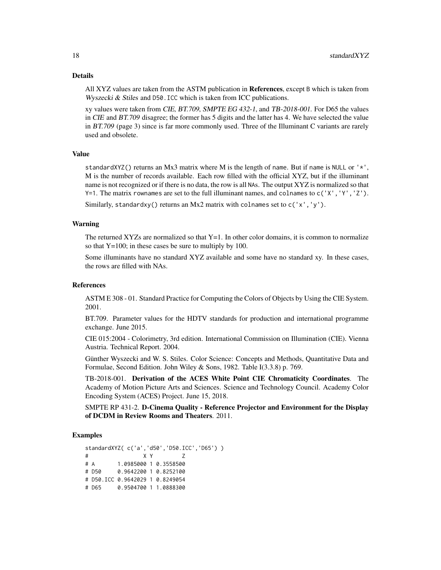#### Details

All XYZ values are taken from the ASTM publication in **References**, except B which is taken from Wyszecki & Stiles and D50.ICC which is taken from ICC publications.

xy values were taken from CIE, BT.709, SMPTE EG 432-1, and TB-2018-001. For D65 the values in CIE and BT.709 disagree; the former has 5 digits and the latter has 4. We have selected the value in BT.709 (page 3) since is far more commonly used. Three of the Illuminant C variants are rarely used and obsolete.

#### Value

standardXYZ() returns an Mx3 matrix where M is the length of name. But if name is NULL or  $'$ , M is the number of records available. Each row filled with the official XYZ, but if the illuminant name is not recognized or if there is no data, the row is all NAs. The output XYZ is normalized so that  $Y=1$ . The matrix rownames are set to the full illuminant names, and colnames to  $c(Y, Y', Y', 'Z')$ .

Similarly, standardxy() returns an Mx2 matrix with colnames set to c('x','y').

#### Warning

The returned XYZs are normalized so that  $Y=1$ . In other color domains, it is common to normalize so that Y=100; in these cases be sure to multiply by 100.

Some illuminants have no standard XYZ available and some have no standard xy. In these cases, the rows are filled with NAs.

#### References

ASTM E 308 - 01. Standard Practice for Computing the Colors of Objects by Using the CIE System. 2001.

BT.709. Parameter values for the HDTV standards for production and international programme exchange. June 2015.

CIE 015:2004 - Colorimetry, 3rd edition. International Commission on Illumination (CIE). Vienna Austria. Technical Report. 2004.

Günther Wyszecki and W. S. Stiles. Color Science: Concepts and Methods, Quantitative Data and Formulae, Second Edition. John Wiley & Sons, 1982. Table I(3.3.8) p. 769.

TB-2018-001. Derivation of the ACES White Point CIE Chromaticity Coordinates. The Academy of Motion Picture Arts and Sciences. Science and Technology Council. Academy Color Encoding System (ACES) Project. June 15, 2018.

SMPTE RP 431-2. D-Cinema Quality - Reference Projector and Environment for the Display of DCDM in Review Rooms and Theaters. 2011.

#### Examples

```
standardXYZ( c('a','d50','D50.ICC','D65') )
# X Y Z
# A 1.0985000 1 0.3558500
# D50 0.9642200 1 0.8252100
# D50.ICC 0.9642029 1 0.8249054
# D65 0.9504700 1 1.0888300
```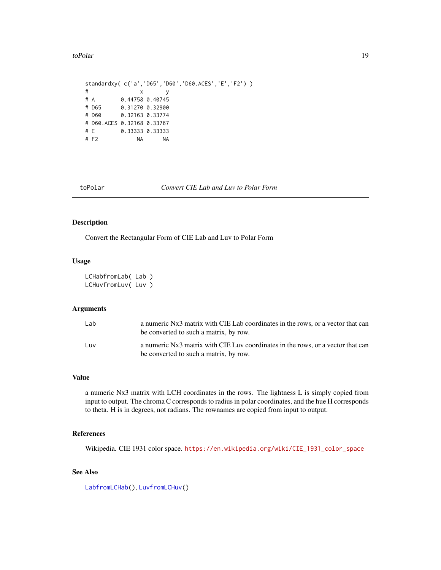<span id="page-18-0"></span>toPolar to the contract of the contract of the contract of the contract of the contract of the contract of the contract of the contract of the contract of the contract of the contract of the contract of the contract of the

```
standardxy( c('a','D65','D60','D60.ACES','E','F2') )
# x y
# A 0.44758 0.40745
# D65 0.31270 0.32900
# D60 0.32163 0.33774
# D60.ACES 0.32168 0.33767
# E 0.33333 0.33333
# F2 NA NA
```
toPolar *Convert CIE Lab and Luv to Polar Form*

#### <span id="page-18-1"></span>Description

Convert the Rectangular Form of CIE Lab and Luv to Polar Form

#### Usage

```
LCHabfromLab( Lab )
LCHuvfromLuv( Luv )
```
#### Arguments

| Lab | a numeric Nx3 matrix with CIE Lab coordinates in the rows, or a vector that can<br>be converted to such a matrix, by row. |
|-----|---------------------------------------------------------------------------------------------------------------------------|
| Luv | a numeric Nx3 matrix with CIE Luv coordinates in the rows, or a vector that can<br>be converted to such a matrix, by row. |

#### Value

a numeric Nx3 matrix with LCH coordinates in the rows. The lightness L is simply copied from input to output. The chroma C corresponds to radius in polar coordinates, and the hue H corresponds to theta. H is in degrees, not radians. The rownames are copied from input to output.

#### References

Wikipedia. CIE 1931 color space. [https://en.wikipedia.org/wiki/CIE\\_1931\\_color\\_space](https://en.wikipedia.org/wiki/CIE_1931_color_space)

#### See Also

[LabfromLCHab\(](#page-12-1)), [LuvfromLCHuv\(](#page-12-1))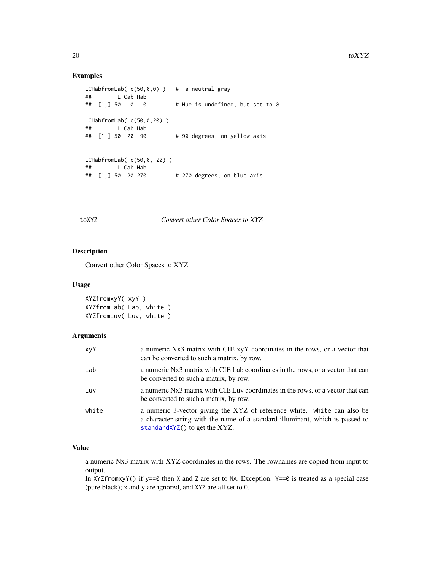#### Examples

```
LCHabfromLab(c(50,0,0)) # a neutral gray
## L Cab Hab
## [1,] 50 0 0 # Hue is undefined, but set to 0
LCHabfromLab( c(50,0,20) )
## L Cab Hab<br>## [1,] 50 20 90
                            # 90 degrees, on yellow axis
LCHabfromLab( c(50,0,-20) )
## L Cab Hab<br>## [1,] 50 20 270
                            # 270 degrees, on blue axis
```
#### toXYZ *Convert other Color Spaces to XYZ*

#### Description

Convert other Color Spaces to XYZ

#### Usage

```
XYZfromxyY( xyY )
XYZfromLab( Lab, white )
XYZfromLuv( Luv, white )
```
#### Arguments

| xyY   | a numeric Nx3 matrix with CIE xyY coordinates in the rows, or a vector that<br>can be converted to such a matrix, by row.                                                                 |
|-------|-------------------------------------------------------------------------------------------------------------------------------------------------------------------------------------------|
| Lab   | a numeric Nx3 matrix with CIE Lab coordinates in the rows, or a vector that can<br>be converted to such a matrix, by row.                                                                 |
| Luv   | a numeric Nx3 matrix with CIE Luv coordinates in the rows, or a vector that can<br>be converted to such a matrix, by row.                                                                 |
| white | a numeric 3-vector giving the XYZ of reference white. white can also be<br>a character string with the name of a standard illuminant, which is passed to<br>standardXYZ() to get the XYZ. |

#### Value

a numeric Nx3 matrix with XYZ coordinates in the rows. The rownames are copied from input to output.

In XYZfromxyY() if y==0 then X and Z are set to NA. Exception: Y==0 is treated as a special case (pure black); x and y are ignored, and XYZ are all set to 0.

<span id="page-19-0"></span>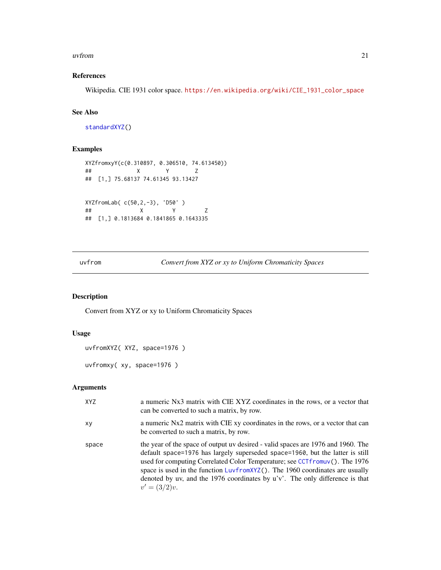#### <span id="page-20-0"></span>uvfrom 21

#### References

Wikipedia. CIE 1931 color space. [https://en.wikipedia.org/wiki/CIE\\_1931\\_color\\_space](https://en.wikipedia.org/wiki/CIE_1931_color_space)

#### See Also

[standardXYZ\(](#page-16-1))

#### Examples

```
XYZfromxyY(c(0.310897, 0.306510, 74.613450))
## X Y Z
## [1,] 75.68137 74.61345 93.13427
XYZfromLab( c(50,2,-3), 'D50' )
## X Y Z
## [1,] 0.1813684 0.1841865 0.1643335
```
uvfrom *Convert from XYZ or xy to Uniform Chromaticity Spaces*

### <span id="page-20-1"></span>Description

Convert from XYZ or xy to Uniform Chromaticity Spaces

#### Usage

```
uvfromXYZ( XYZ, space=1976 )
```
uvfromxy( xy, space=1976 )

#### Arguments

| XYZ   | a numeric Nx3 matrix with CIE XYZ coordinates in the rows, or a vector that<br>can be converted to such a matrix, by row.                                                                                                                                                                                                                                                                                                             |
|-------|---------------------------------------------------------------------------------------------------------------------------------------------------------------------------------------------------------------------------------------------------------------------------------------------------------------------------------------------------------------------------------------------------------------------------------------|
| XV    | a numeric Nx2 matrix with CIE xy coordinates in the rows, or a vector that can<br>be converted to such a matrix, by row.                                                                                                                                                                                                                                                                                                              |
| space | the year of the space of output uv desired - valid spaces are 1976 and 1960. The<br>default space=1976 has largely superseded space=1960, but the latter is still<br>used for computing Correlated Color Temperature; see CCTfromuv(). The 1976<br>space is used in the function LuvfromXYZ(). The 1960 coordinates are usually<br>denoted by uv, and the 1976 coordinates by $u'v'$ . The only difference is that<br>$v' = (3/2)v$ . |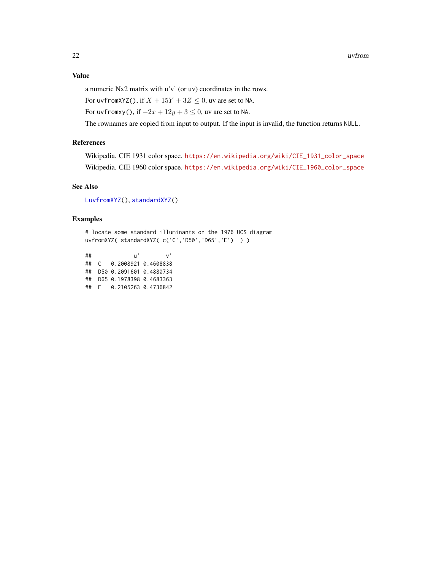<span id="page-21-0"></span>a numeric Nx2 matrix with u'v' (or uv) coordinates in the rows.

For uvfromXYZ(), if  $X + 15Y + 3Z \le 0$ , uv are set to NA.

For uvfromxy(), if  $-2x + 12y + 3 \le 0$ , uv are set to NA.

The rownames are copied from input to output. If the input is invalid, the function returns NULL.

#### References

Wikipedia. CIE 1931 color space. [https://en.wikipedia.org/wiki/CIE\\_1931\\_color\\_space](https://en.wikipedia.org/wiki/CIE_1931_color_space) Wikipedia. CIE 1960 color space. [https://en.wikipedia.org/wiki/CIE\\_1960\\_color\\_space](https://en.wikipedia.org/wiki/CIE_1960_color_space)

#### See Also

[LuvfromXYZ\(](#page-13-1)), [standardXYZ\(](#page-16-1))

#### Examples

# locate some standard illuminants on the 1976 UCS diagram uvfromXYZ( standardXYZ( c('C','D50','D65','E') ) )

## u' v' ## C 0.2008921 0.4608838 ## D50 0.2091601 0.4880734 ## D65 0.1978398 0.4683363 ## E 0.2105263 0.4736842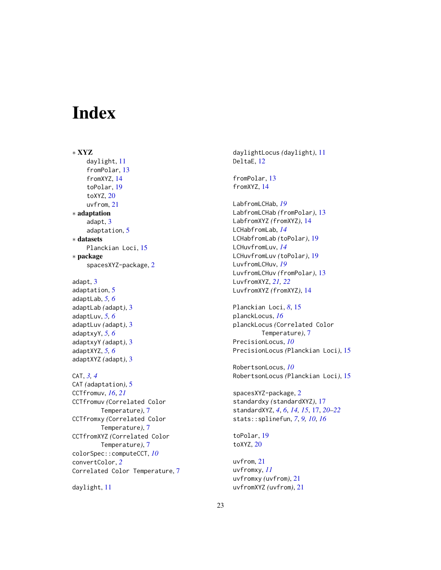# <span id="page-22-0"></span>Index

∗ XYZ daylight, [11](#page-10-0) fromPolar, [13](#page-12-0) fromXYZ, [14](#page-13-0) toPolar, [19](#page-18-0) toXYZ, [20](#page-19-0) uvfrom, [21](#page-20-0) ∗ adaptation adapt, [3](#page-2-0) adaptation, [5](#page-4-0) ∗ datasets Planckian Loci, [15](#page-14-0) ∗ package spacesXYZ-package, [2](#page-1-0) adapt, [3](#page-2-0) adaptation, [5](#page-4-0) adaptLab, *[5,](#page-4-0) [6](#page-5-0)* adaptLab *(*adapt*)*, [3](#page-2-0)

adaptLuv, *[5,](#page-4-0) [6](#page-5-0)* adaptLuv *(*adapt*)*, [3](#page-2-0) adaptxyY, *[5,](#page-4-0) [6](#page-5-0)* adaptxyY *(*adapt*)*, [3](#page-2-0) adaptXYZ, *[5,](#page-4-0) [6](#page-5-0)* adaptXYZ *(*adapt*)*, [3](#page-2-0)

CAT, *[3,](#page-2-0) [4](#page-3-0)* CAT *(*adaptation*)*, [5](#page-4-0) CCTfromuv, *[16](#page-15-0)*, *[21](#page-20-0)* CCTfromuv *(*Correlated Color Temperature*)*, [7](#page-6-0) CCTfromxy *(*Correlated Color Temperature*)*, [7](#page-6-0) CCTfromXYZ *(*Correlated Color Temperature*)*, [7](#page-6-0) colorSpec::computeCCT, *[10](#page-9-0)* convertColor, *[2](#page-1-0)* Correlated Color Temperature, [7](#page-6-0)

daylight, [11](#page-10-0)

daylightLocus *(*daylight*)*, [11](#page-10-0) DeltaE, [12](#page-11-0)

fromPolar, [13](#page-12-0) fromXYZ, [14](#page-13-0)

LabfromLCHab, *[19](#page-18-0)* LabfromLCHab *(*fromPolar*)*, [13](#page-12-0) LabfromXYZ *(*fromXYZ*)*, [14](#page-13-0) LCHabfromLab, *[14](#page-13-0)* LCHabfromLab *(*toPolar*)*, [19](#page-18-0) LCHuvfromLuv, *[14](#page-13-0)* LCHuvfromLuv *(*toPolar*)*, [19](#page-18-0) LuvfromLCHuv, *[19](#page-18-0)* LuvfromLCHuv *(*fromPolar*)*, [13](#page-12-0) LuvfromXYZ, *[21,](#page-20-0) [22](#page-21-0)* LuvfromXYZ *(*fromXYZ*)*, [14](#page-13-0)

Planckian Loci, *[8](#page-7-0)*, [15](#page-14-0) planckLocus, *[16](#page-15-0)* planckLocus *(*Correlated Color Temperature*)*, [7](#page-6-0) PrecisionLocus, *[10](#page-9-0)* PrecisionLocus *(*Planckian Loci*)*, [15](#page-14-0)

RobertsonLocus, *[10](#page-9-0)* RobertsonLocus *(*Planckian Loci*)*, [15](#page-14-0)

spacesXYZ-package, [2](#page-1-0) standardxy *(*standardXYZ*)*, [17](#page-16-0) standardXYZ, *[4](#page-3-0)*, *[6](#page-5-0)*, *[14,](#page-13-0) [15](#page-14-0)*, [17,](#page-16-0) *[20](#page-19-0)[–22](#page-21-0)* stats::splinefun, *[7](#page-6-0)*, *[9,](#page-8-0) [10](#page-9-0)*, *[16](#page-15-0)*

toPolar, [19](#page-18-0) toXYZ, [20](#page-19-0)

uvfrom, [21](#page-20-0) uvfromxy, *[11](#page-10-0)* uvfromxy *(*uvfrom*)*, [21](#page-20-0) uvfromXYZ *(*uvfrom*)*, [21](#page-20-0)